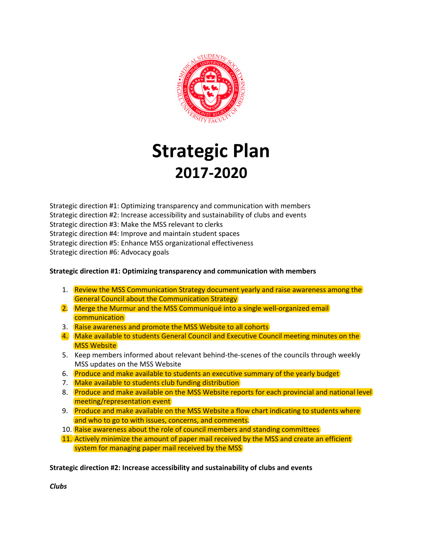

# **Strategic Plan 2017-2020**

Strategic direction #1: Optimizing transparency and communication with members Strategic direction #2: Increase accessibility and sustainability of clubs and events Strategic direction #3: Make the MSS relevant to clerks Strategic direction #4: Improve and maintain student spaces Strategic direction #5: Enhance MSS organizational effectiveness Strategic direction #6: Advocacy goals

## **Strategic direction #1: Optimizing transparency and communication with members**

- 1. Review the MSS Communication Strategy document yearly and raise awareness among the General Council about the Communication Strategy
- 2. Merge the Murmur and the MSS Communiqué into a single well-organized email communication
- 3. Raise awareness and promote the MSS Website to all cohorts
- 4. Make available to students General Council and Executive Council meeting minutes on the **MSS Website**
- 5. Keep members informed about relevant behind-the-scenes of the councils through weekly MSS updates on the MSS Website
- 6. Produce and make available to students an executive summary of the yearly budget
- 7. Make available to students club funding distribution
- 8. Produce and make available on the MSS Website reports for each provincial and national level meeting/representation event
- 9. Produce and make available on the MSS Website a flow chart indicating to students where and who to go to with issues, concerns, and comments.
- 10. Raise awareness about the role of council members and standing committees
- 11. Actively minimize the amount of paper mail received by the MSS and create an efficient system for managing paper mail received by the MSS

**Strategic direction #2: Increase accessibility and sustainability of clubs and events**

*Clubs*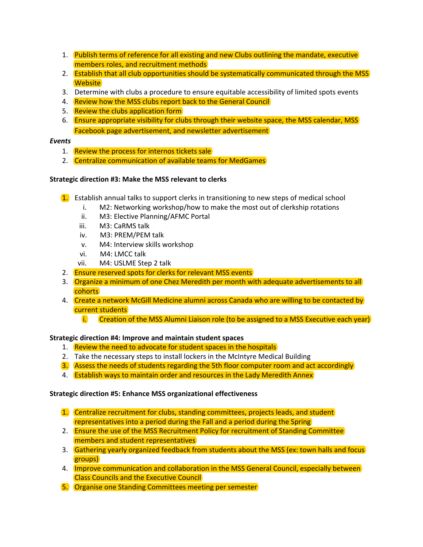- 1. Publish terms of reference for all existing and new Clubs outlining the mandate, executive members roles, and recruitment methods
- 2. **Establish that all club opportunities should be systematically communicated through the MSS Website**
- 3. Determine with clubs a procedure to ensure equitable accessibility of limited spots events
- 4. Review how the MSS clubs report back to the General Council
- 5. Review the clubs application form
- 6. Ensure appropriate visibility for clubs through their website space, the MSS calendar, MSS Facebook page advertisement, and newsletter advertisement

#### *Events*

- 1. Review the process for internos tickets sale
- 2. Centralize communication of available teams for MedGames

#### **Strategic direction #3: Make the MSS relevant to clerks**

- 1. Establish annual talks to support clerks in transitioning to new steps of medical school
	- i. M2: Networking workshop/how to make the most out of clerkship rotations
	- ii. M3: Elective Planning/AFMC Portal
	- iii. M3: CaRMS talk
	- iv. M3: PREM/PEM talk
	- v. M4: Interview skills workshop
	- vi. M4: LMCC talk
	- vii. M4: USLME Step 2 talk
- 2. Ensure reserved spots for clerks for relevant MSS events
- 3. Organize a minimum of one Chez Meredith per month with adequate advertisements to all cohorts
- 4. Create a network McGill Medicine alumni across Canada who are willing to be contacted by current students
	- i. Creation of the MSS Alumni Liaison role (to be assigned to a MSS Executive each year)

#### **Strategic direction #4: Improve and maintain student spaces**

- 1. Review the need to advocate for student spaces in the hospitals
- 2. Take the necessary steps to install lockers in the McIntyre Medical Building
- 3. Assess the needs of students regarding the 5th floor computer room and act accordingly
- 4. **Establish ways to maintain order and resources in the Lady Meredith Annex**

#### **Strategic direction #5: Enhance MSS organizational effectiveness**

- 1. Centralize recruitment for clubs, standing committees, projects leads, and student representatives into a period during the Fall and a period during the Spring
- 2. Ensure the use of the MSS Recruitment Policy for recruitment of Standing Committee members and student representatives
- 3. Gathering yearly organized feedback from students about the MSS (ex: town halls and focus groups)
- 4. **Improve communication and collaboration in the MSS General Council, especially between** Class Councils and the Executive Council
- 5. Organise one Standing Committees meeting per semester